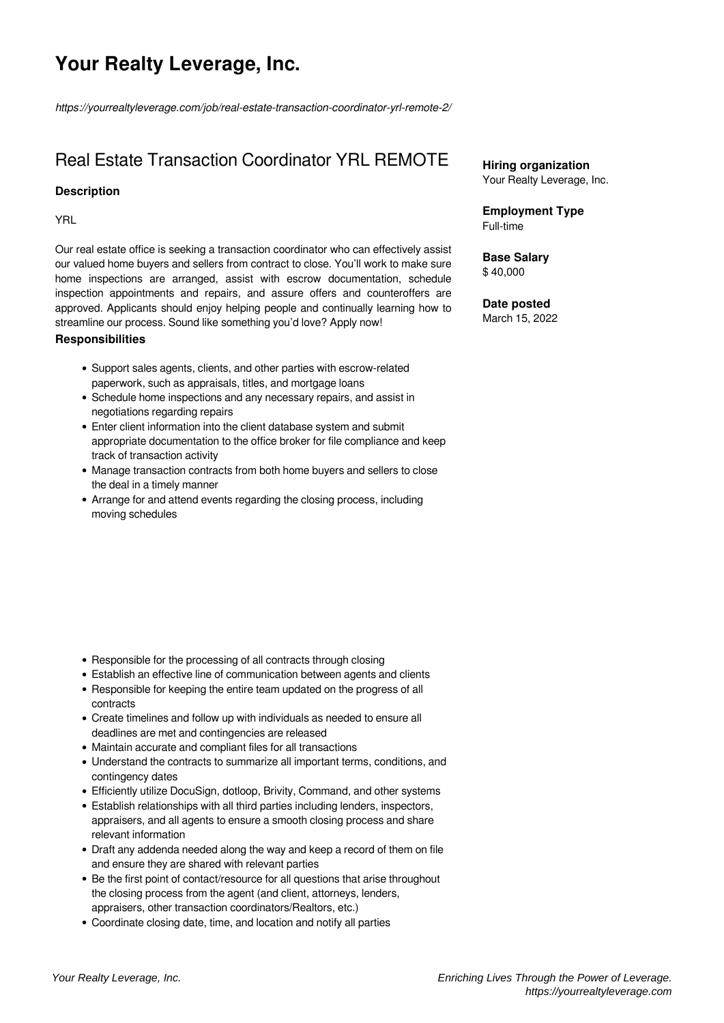# **Your Realty Leverage, Inc.**

*https://yourrealtyleverage.com/job/real-estate-transaction-coordinator-yrl-remote-2/*

## Real Estate Transaction Coordinator YRL REMOTE

#### **Description**

YRL

Our real estate office is seeking a transaction coordinator who can effectively assist our valued home buyers and sellers from contract to close. You'll work to make sure home inspections are arranged, assist with escrow documentation, schedule inspection appointments and repairs, and assure offers and counteroffers are approved. Applicants should enjoy helping people and continually learning how to streamline our process. Sound like something you'd love? Apply now!

#### **Responsibilities**

- Support sales agents, clients, and other parties with escrow-related paperwork, such as appraisals, titles, and mortgage loans
- Schedule home inspections and any necessary repairs, and assist in negotiations regarding repairs
- Enter client information into the client database system and submit appropriate documentation to the office broker for file compliance and keep track of transaction activity
- Manage transaction contracts from both home buyers and sellers to close the deal in a timely manner
- Arrange for and attend events regarding the closing process, including moving schedules

- Responsible for the processing of all contracts through closing
- Establish an effective line of communication between agents and clients
- Responsible for keeping the entire team updated on the progress of all contracts
- Create timelines and follow up with individuals as needed to ensure all deadlines are met and contingencies are released
- Maintain accurate and compliant files for all transactions
- Understand the contracts to summarize all important terms, conditions, and contingency dates
- Efficiently utilize DocuSign, dotloop, Brivity, Command, and other systems
- Establish relationships with all third parties including lenders, inspectors, appraisers, and all agents to ensure a smooth closing process and share relevant information
- Draft any addenda needed along the way and keep a record of them on file and ensure they are shared with relevant parties
- Be the first point of contact/resource for all questions that arise throughout the closing process from the agent (and client, attorneys, lenders, appraisers, other transaction coordinators/Realtors, etc.)
- Coordinate closing date, time, and location and notify all parties

**Hiring organization** Your Realty Leverage, Inc.

**Employment Type** Full-time

**Base Salary** \$ 40,000

### **Date posted**

March 15, 2022